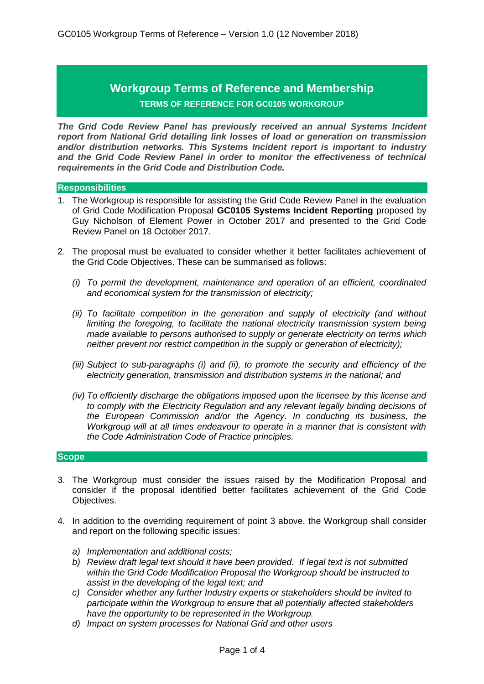# **Workgroup Terms of Reference and Membership TERMS OF REFERENCE FOR GC0105 WORKGROUP**

*The Grid Code Review Panel has previously received an annual Systems Incident report from National Grid detailing link losses of load or generation on transmission and/or distribution networks. This Systems Incident report is important to industry and the Grid Code Review Panel in order to monitor the effectiveness of technical requirements in the Grid Code and Distribution Code.*

#### **Responsibilities**

- 1. The Workgroup is responsible for assisting the Grid Code Review Panel in the evaluation of Grid Code Modification Proposal **GC0105 Systems Incident Reporting** proposed by Guy Nicholson of Element Power in October 2017 and presented to the Grid Code Review Panel on 18 October 2017.
- 2. The proposal must be evaluated to consider whether it better facilitates achievement of the Grid Code Objectives. These can be summarised as follows:
	- *(i) To permit the development, maintenance and operation of an efficient, coordinated and economical system for the transmission of electricity;*
	- *(ii) To facilitate competition in the generation and supply of electricity (and without limiting the foregoing, to facilitate the national electricity transmission system being made available to persons authorised to supply or generate electricity on terms which neither prevent nor restrict competition in the supply or generation of electricity);*
	- *(iii) Subject to sub-paragraphs (i) and (ii), to promote the security and efficiency of the electricity generation, transmission and distribution systems in the national; and*
	- *(iv) To efficiently discharge the obligations imposed upon the licensee by this license and to comply with the Electricity Regulation and any relevant legally binding decisions of the European Commission and/or the Agency. In conducting its business, the Workgroup will at all times endeavour to operate in a manner that is consistent with the Code Administration Code of Practice principles.*

#### **Scope**

- 3. The Workgroup must consider the issues raised by the Modification Proposal and consider if the proposal identified better facilitates achievement of the Grid Code Objectives.
- 4. In addition to the overriding requirement of point 3 above, the Workgroup shall consider and report on the following specific issues:
	- *a) Implementation and additional costs;*
	- *b) Review draft legal text should it have been provided. If legal text is not submitted within the Grid Code Modification Proposal the Workgroup should be instructed to assist in the developing of the legal text; and*
	- *c) Consider whether any further Industry experts or stakeholders should be invited to participate within the Workgroup to ensure that all potentially affected stakeholders have the opportunity to be represented in the Workgroup.*
	- *d) Impact on system processes for National Grid and other users*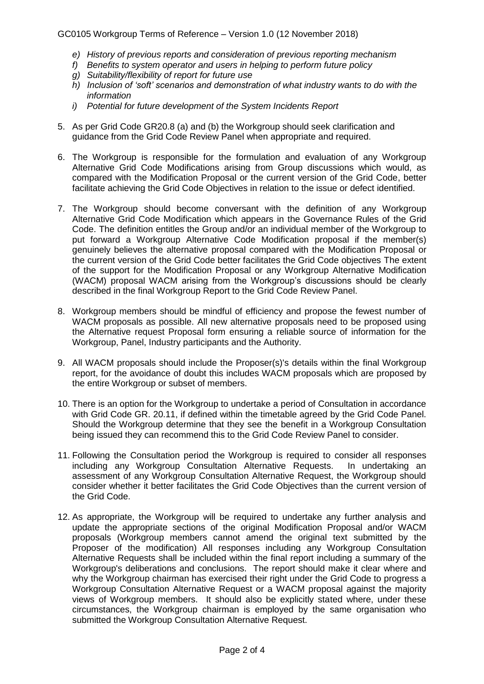## GC0105 Workgroup Terms of Reference – Version 1.0 (12 November 2018)

- *e) History of previous reports and consideration of previous reporting mechanism*
- *f) Benefits to system operator and users in helping to perform future policy*
- *g) Suitability/flexibility of report for future use*
- *h) Inclusion of 'soft' scenarios and demonstration of what industry wants to do with the information*
- *i) Potential for future development of the System Incidents Report*
- 5. As per Grid Code GR20.8 (a) and (b) the Workgroup should seek clarification and guidance from the Grid Code Review Panel when appropriate and required.
- 6. The Workgroup is responsible for the formulation and evaluation of any Workgroup Alternative Grid Code Modifications arising from Group discussions which would, as compared with the Modification Proposal or the current version of the Grid Code, better facilitate achieving the Grid Code Objectives in relation to the issue or defect identified.
- 7. The Workgroup should become conversant with the definition of any Workgroup Alternative Grid Code Modification which appears in the Governance Rules of the Grid Code. The definition entitles the Group and/or an individual member of the Workgroup to put forward a Workgroup Alternative Code Modification proposal if the member(s) genuinely believes the alternative proposal compared with the Modification Proposal or the current version of the Grid Code better facilitates the Grid Code objectives The extent of the support for the Modification Proposal or any Workgroup Alternative Modification (WACM) proposal WACM arising from the Workgroup's discussions should be clearly described in the final Workgroup Report to the Grid Code Review Panel.
- 8. Workgroup members should be mindful of efficiency and propose the fewest number of WACM proposals as possible. All new alternative proposals need to be proposed using the Alternative request Proposal form ensuring a reliable source of information for the Workgroup, Panel, Industry participants and the Authority.
- 9. All WACM proposals should include the Proposer(s)'s details within the final Workgroup report, for the avoidance of doubt this includes WACM proposals which are proposed by the entire Workgroup or subset of members.
- 10. There is an option for the Workgroup to undertake a period of Consultation in accordance with Grid Code GR. 20.11, if defined within the timetable agreed by the Grid Code Panel. Should the Workgroup determine that they see the benefit in a Workgroup Consultation being issued they can recommend this to the Grid Code Review Panel to consider.
- 11. Following the Consultation period the Workgroup is required to consider all responses including any Workgroup Consultation Alternative Requests. In undertaking an assessment of any Workgroup Consultation Alternative Request, the Workgroup should consider whether it better facilitates the Grid Code Objectives than the current version of the Grid Code.
- 12. As appropriate, the Workgroup will be required to undertake any further analysis and update the appropriate sections of the original Modification Proposal and/or WACM proposals (Workgroup members cannot amend the original text submitted by the Proposer of the modification) All responses including any Workgroup Consultation Alternative Requests shall be included within the final report including a summary of the Workgroup's deliberations and conclusions. The report should make it clear where and why the Workgroup chairman has exercised their right under the Grid Code to progress a Workgroup Consultation Alternative Request or a WACM proposal against the majority views of Workgroup members. It should also be explicitly stated where, under these circumstances, the Workgroup chairman is employed by the same organisation who submitted the Workgroup Consultation Alternative Request.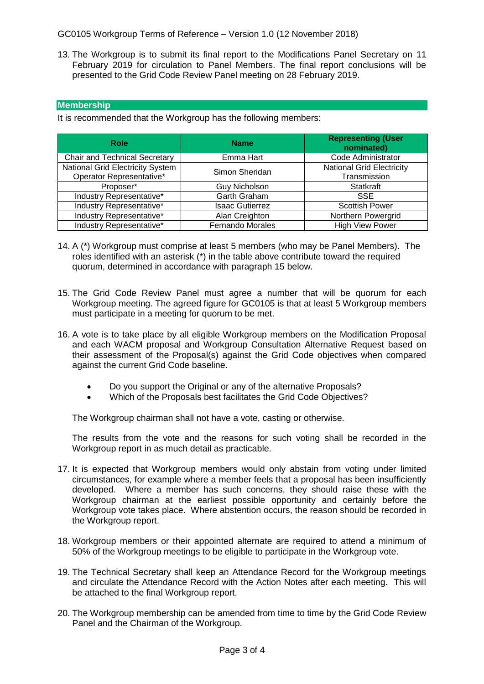GC0105 Workgroup Terms of Reference – Version 1.0 (12 November 2018)

13. The Workgroup is to submit its final report to the Modifications Panel Secretary on 11 February 2019 for circulation to Panel Members. The final report conclusions will be presented to the Grid Code Review Panel meeting on 28 February 2019.

## **Membership**

It is recommended that the Workgroup has the following members:

| <b>Role</b>                          | <b>Name</b>             | <b>Representing (User</b><br>nominated)          |
|--------------------------------------|-------------------------|--------------------------------------------------|
| <b>Chair and Technical Secretary</b> | Emma Hart               | <b>Code Administrator</b>                        |
| National Grid Electricity System     | Simon Sheridan          | <b>National Grid Electricity</b><br>Transmission |
| Operator Representative*             |                         |                                                  |
| Proposer*                            | <b>Guy Nicholson</b>    | <b>Statkraft</b>                                 |
| Industry Representative*             | Garth Graham            | <b>SSE</b>                                       |
| Industry Representative*             | <b>Isaac Gutierrez</b>  | <b>Scottish Power</b>                            |
| Industry Representative*             | Alan Creighton          | Northern Powergrid                               |
| Industry Representative*             | <b>Fernando Morales</b> | <b>High View Power</b>                           |

- 14. A (\*) Workgroup must comprise at least 5 members (who may be Panel Members). The roles identified with an asterisk (\*) in the table above contribute toward the required quorum, determined in accordance with paragraph 15 below.
- 15. The Grid Code Review Panel must agree a number that will be quorum for each Workgroup meeting. The agreed figure for GC0105 is that at least 5 Workgroup members must participate in a meeting for quorum to be met.
- 16. A vote is to take place by all eligible Workgroup members on the Modification Proposal and each WACM proposal and Workgroup Consultation Alternative Request based on their assessment of the Proposal(s) against the Grid Code objectives when compared against the current Grid Code baseline.
	- Do you support the Original or any of the alternative Proposals?
	- Which of the Proposals best facilitates the Grid Code Objectives?

The Workgroup chairman shall not have a vote, casting or otherwise.

The results from the vote and the reasons for such voting shall be recorded in the Workgroup report in as much detail as practicable.

- 17. It is expected that Workgroup members would only abstain from voting under limited circumstances, for example where a member feels that a proposal has been insufficiently developed. Where a member has such concerns, they should raise these with the Workgroup chairman at the earliest possible opportunity and certainly before the Workgroup vote takes place. Where abstention occurs, the reason should be recorded in the Workgroup report.
- 18. Workgroup members or their appointed alternate are required to attend a minimum of 50% of the Workgroup meetings to be eligible to participate in the Workgroup vote.
- 19. The Technical Secretary shall keep an Attendance Record for the Workgroup meetings and circulate the Attendance Record with the Action Notes after each meeting. This will be attached to the final Workgroup report.
- 20. The Workgroup membership can be amended from time to time by the Grid Code Review Panel and the Chairman of the Workgroup.